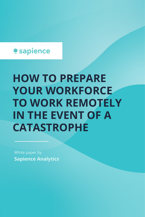

# **HOW TO PREPARE YOUR WORKFORCE TO WORK REMOTELY IN THE EVENT OF A CATASTROPHE**

White paper by **Sapience Analytics**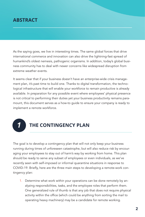## **ABSTRACT**

As the saying goes, we live in interesting times. The same global forces that drive international commerce and innovation can also drive the lightning-fast spread of humankind's oldest nemesis, pathogenic organisms. In addition, today's global business community has to deal with newer concerns like widespread disruption from extreme weather events.

It seems clear that if your business doesn't have an enterprise-wide crisis management plan, it's past time to build one. Thanks to digital transformation, the technological infrastructure that will enable your workforce to remain productive is already available. In preparation for any possible event where employees' physical presence is not critical to performing their duties yet your business productivity remains paramount, this document serves as a how-to guide to ensure your company is ready to implement a remote workforce.



#### **THE CONTINGENCY PLAN**

The goal is to develop a contingency plan that will not only keep your business running during times of unforeseen catastrophe, but will also reduce risk by encouraging your employees to stay out of harm's way by working from home. This plan should be ready to serve any subset of employees or even individuals, as we've recently seen with self-imposed or informal quarantine situations in response to COVID-19. Briefly, here are the three main steps to developing a remote-work contingency plan:

1. Determine what work within your operations can be done remotely by analyzing responsibilities, tasks, and the employee roles that perform them. One generalized rule of thumb is that any job that does not require physical activity within the office (which could be anything from sorting the mail to operating heavy machinery) may be a candidate for remote working.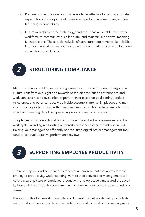- 2. Prepare both employees and managers to be effective by setting accurate expectations, developing outcome-based performance measures, and establishing accountability.
- 3. Ensure availability of the technology and tools that will enable the remote workforce to communicate, collaborate, and maintain supportive, meaningful interactions. These tools include infrastructure requirements like reliable Internet connections, instant messaging, screen sharing, even mobile phone connections and devices.

## **STRUCTURING COMPLIANCE** *2*

Many companies find that establishing a remote workforce involves undergoing a cultural shift from oversight and rewards based on time (such as attendance and work anniversaries) to evaluation of performance based on goal-setting, project milestones, and other concretely definable accomplishments. Employees and managers must agree to comply with objective measures such as enterprise-wide work standards, meeting deadlines, preparing work for use by others, etc.

The plan must include actionable steps to identify and solve problems early in the work cycle, including reallocating responsibilities if necessary. It must also include training your managers to efficiently use real-time digital project management toolsand to conduct objective performance reviews.



# **SUPPORTING EMPLOYEE PRODUCTIVITY**

The next step beyond compliance is to foster an environment that allows for true employee productivity. Understanding work-related activities so management can have a clearer picture of employee productivity and objectively measured productivity levels will help keep the company running even without workers being physically present.

Developing this framework during standard operations helps establish productivity benchmarks that are critical to implementing successful work-from-home programs.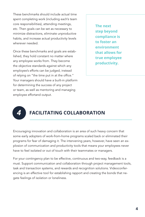These benchmarks should include actual time spent completing work (including each's team core responsibilities), attending meetings, etc. Then goals can be set as necessary to minimize distractions, eliminate unproductive habits, and increase actual productivity levels wherever needed.

Once these benchmarks and goals are established, they hold constant no matter where any employee works from. They become the objective standards against which any employee's efforts can be judged, instead of relying on "the time put in at the office." Your managers should have a built-in platform for determining the success of any project or team, as well as mentoring and managing employee effortand output.

**The next step beyond compliance is to foster an environment that allows for true employee productivity.**



## **FACILITATING COLLABORATION**

Encouraging innovation and collaboration is an area of such heavy concern that some early adopters of work-from-home programs scaled back or eliminated their programs for fear of damaging it. The intervening years, however, have seen an explosion of communication and productivity tools that means your employees never have to feel isolated or out of touch with their teammates or managers.

For your contingency plan to be effective, continuous and two-way, feedback is a must. Support communication and collaboration through project management tools, task and transaction systems, and rewards and recognition solutions. Videoconferencing is an effective tool for establishing rapport and creating the bonds that negate feelings of isolation or loneliness.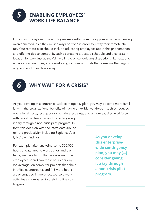#### **ENABLING EMPLOYEES' WORK-LIFE BALANCE**

In contrast, today's remote employees may suffer from the opposite concern: Feeling overconnected, as if they must always be "on" in order to justify their remote status. Your remote plan should include educating employees about this phenomenon and offering tips to combat it, such as creating a posted schedule and a consistent location for work just as they'd have in the office, quieting distractions like texts and emails at certain times, and developing routines or rituals that formalize the beginning and end of each workday.

*6*

*5*

## **WHY WAIT FOR A CRISIS?**

As you develop this enterprise-wide contingency plan, you may become more familiar with the organizational benefits of having a flexible workforce – such as reduced operational costs, less geographic hiring restraints, and a more satisfied workforce

with less absenteeism -- and consider giving it a try through a non-crisis pilot program. Inform this decision with the latest data around remote productivity, including Sapience Analytics' own findings.

For example, after analyzing some 500,000 hours of data around work trends and patterns, we have found that work-from-home employees spend two more hours per day (on average) on computer projects than their in-office counterparts, and 1.8 more hours a day engaged in more focused core work activities as compared to their in-office colleagues.

**As you develop this enterprisewide contingency plan, you may [...] consider giving it a try through a non-crisis pilot program.**